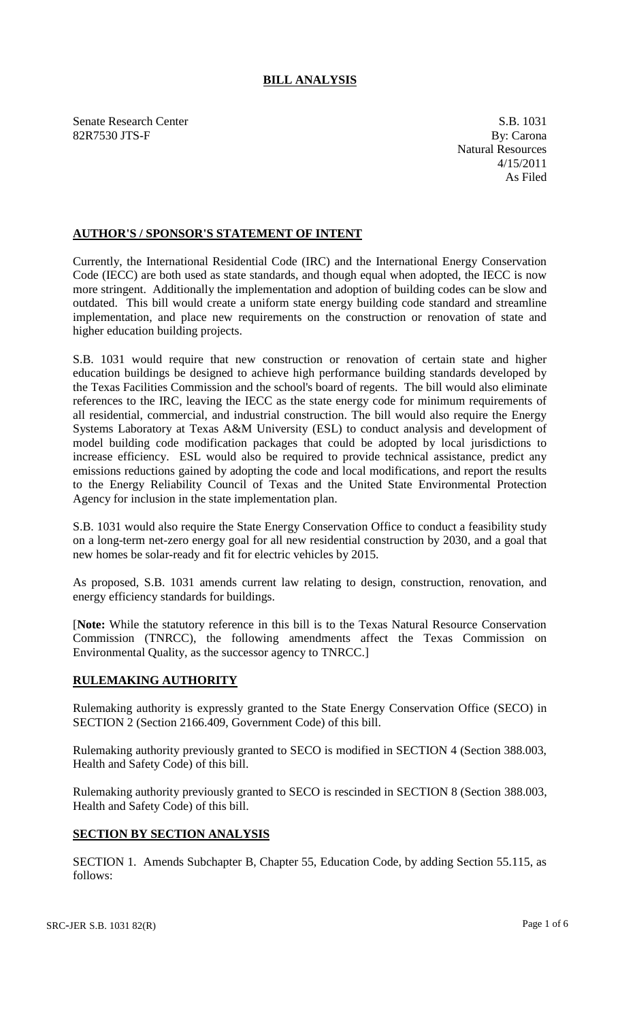## **BILL ANALYSIS**

Senate Research Center S.B. 1031 82R7530 JTS-F By: Carona

Natural Resources 4/15/2011 As Filed

## **AUTHOR'S / SPONSOR'S STATEMENT OF INTENT**

Currently, the International Residential Code (IRC) and the International Energy Conservation Code (IECC) are both used as state standards, and though equal when adopted, the IECC is now more stringent. Additionally the implementation and adoption of building codes can be slow and outdated. This bill would create a uniform state energy building code standard and streamline implementation, and place new requirements on the construction or renovation of state and higher education building projects.

S.B. 1031 would require that new construction or renovation of certain state and higher education buildings be designed to achieve high performance building standards developed by the Texas Facilities Commission and the school's board of regents. The bill would also eliminate references to the IRC, leaving the IECC as the state energy code for minimum requirements of all residential, commercial, and industrial construction. The bill would also require the Energy Systems Laboratory at Texas A&M University (ESL) to conduct analysis and development of model building code modification packages that could be adopted by local jurisdictions to increase efficiency. ESL would also be required to provide technical assistance, predict any emissions reductions gained by adopting the code and local modifications, and report the results to the Energy Reliability Council of Texas and the United State Environmental Protection Agency for inclusion in the state implementation plan.

S.B. 1031 would also require the State Energy Conservation Office to conduct a feasibility study on a long-term net-zero energy goal for all new residential construction by 2030, and a goal that new homes be solar-ready and fit for electric vehicles by 2015.

As proposed, S.B. 1031 amends current law relating to design, construction, renovation, and energy efficiency standards for buildings.

[**Note:** While the statutory reference in this bill is to the Texas Natural Resource Conservation Commission (TNRCC), the following amendments affect the Texas Commission on Environmental Quality, as the successor agency to TNRCC.]

## **RULEMAKING AUTHORITY**

Rulemaking authority is expressly granted to the State Energy Conservation Office (SECO) in SECTION 2 (Section 2166.409, Government Code) of this bill.

Rulemaking authority previously granted to SECO is modified in SECTION 4 (Section 388.003, Health and Safety Code) of this bill.

Rulemaking authority previously granted to SECO is rescinded in SECTION 8 (Section 388.003, Health and Safety Code) of this bill.

## **SECTION BY SECTION ANALYSIS**

SECTION 1. Amends Subchapter B, Chapter 55, Education Code, by adding Section 55.115, as follows: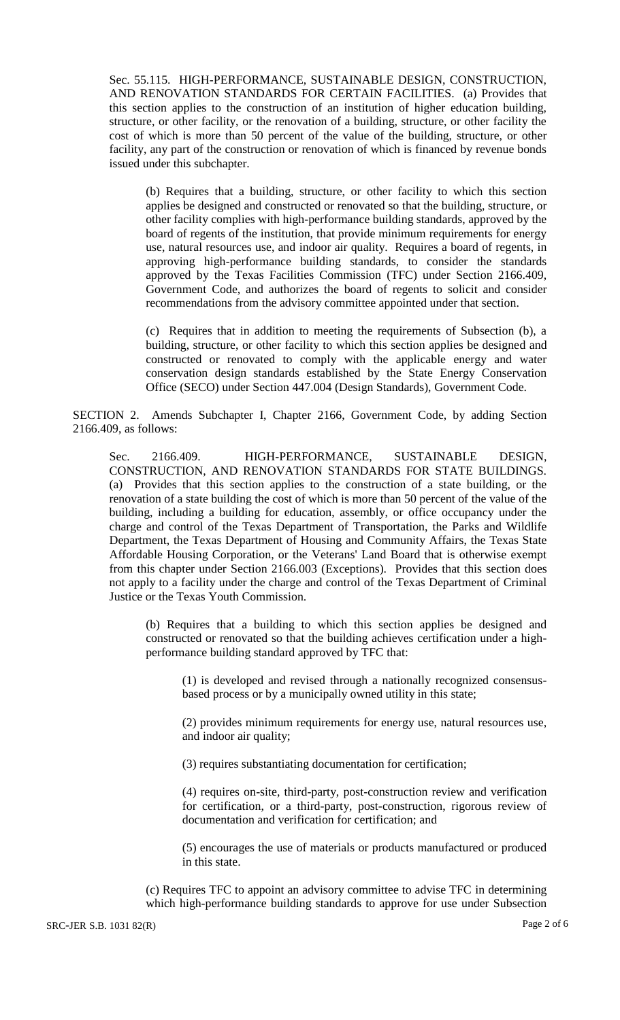Sec. 55.115. HIGH-PERFORMANCE, SUSTAINABLE DESIGN, CONSTRUCTION, AND RENOVATION STANDARDS FOR CERTAIN FACILITIES. (a) Provides that this section applies to the construction of an institution of higher education building, structure, or other facility, or the renovation of a building, structure, or other facility the cost of which is more than 50 percent of the value of the building, structure, or other facility, any part of the construction or renovation of which is financed by revenue bonds issued under this subchapter.

(b) Requires that a building, structure, or other facility to which this section applies be designed and constructed or renovated so that the building, structure, or other facility complies with high-performance building standards, approved by the board of regents of the institution, that provide minimum requirements for energy use, natural resources use, and indoor air quality. Requires a board of regents, in approving high-performance building standards, to consider the standards approved by the Texas Facilities Commission (TFC) under Section 2166.409, Government Code, and authorizes the board of regents to solicit and consider recommendations from the advisory committee appointed under that section.

(c) Requires that in addition to meeting the requirements of Subsection (b), a building, structure, or other facility to which this section applies be designed and constructed or renovated to comply with the applicable energy and water conservation design standards established by the State Energy Conservation Office (SECO) under Section 447.004 (Design Standards), Government Code.

SECTION 2. Amends Subchapter I, Chapter 2166, Government Code, by adding Section 2166.409, as follows:

Sec. 2166.409. HIGH-PERFORMANCE, SUSTAINABLE DESIGN, CONSTRUCTION, AND RENOVATION STANDARDS FOR STATE BUILDINGS. (a) Provides that this section applies to the construction of a state building, or the renovation of a state building the cost of which is more than 50 percent of the value of the building, including a building for education, assembly, or office occupancy under the charge and control of the Texas Department of Transportation, the Parks and Wildlife Department, the Texas Department of Housing and Community Affairs, the Texas State Affordable Housing Corporation, or the Veterans' Land Board that is otherwise exempt from this chapter under Section 2166.003 (Exceptions). Provides that this section does not apply to a facility under the charge and control of the Texas Department of Criminal Justice or the Texas Youth Commission.

(b) Requires that a building to which this section applies be designed and constructed or renovated so that the building achieves certification under a highperformance building standard approved by TFC that:

(1) is developed and revised through a nationally recognized consensusbased process or by a municipally owned utility in this state;

(2) provides minimum requirements for energy use, natural resources use, and indoor air quality;

(3) requires substantiating documentation for certification;

(4) requires on-site, third-party, post-construction review and verification for certification, or a third-party, post-construction, rigorous review of documentation and verification for certification; and

(5) encourages the use of materials or products manufactured or produced in this state.

(c) Requires TFC to appoint an advisory committee to advise TFC in determining which high-performance building standards to approve for use under Subsection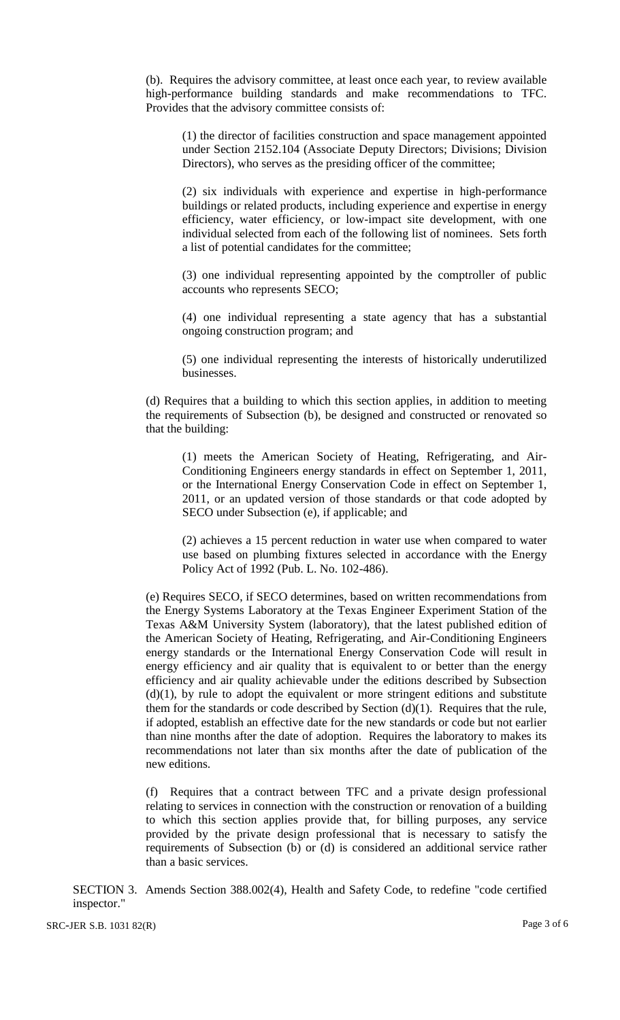(b). Requires the advisory committee, at least once each year, to review available high-performance building standards and make recommendations to TFC. Provides that the advisory committee consists of:

(1) the director of facilities construction and space management appointed under Section 2152.104 (Associate Deputy Directors; Divisions; Division Directors), who serves as the presiding officer of the committee;

(2) six individuals with experience and expertise in high-performance buildings or related products, including experience and expertise in energy efficiency, water efficiency, or low-impact site development, with one individual selected from each of the following list of nominees. Sets forth a list of potential candidates for the committee;

(3) one individual representing appointed by the comptroller of public accounts who represents SECO;

(4) one individual representing a state agency that has a substantial ongoing construction program; and

(5) one individual representing the interests of historically underutilized businesses.

(d) Requires that a building to which this section applies, in addition to meeting the requirements of Subsection (b), be designed and constructed or renovated so that the building:

(1) meets the American Society of Heating, Refrigerating, and Air-Conditioning Engineers energy standards in effect on September 1, 2011, or the International Energy Conservation Code in effect on September 1, 2011, or an updated version of those standards or that code adopted by SECO under Subsection (e), if applicable; and

(2) achieves a 15 percent reduction in water use when compared to water use based on plumbing fixtures selected in accordance with the Energy Policy Act of 1992 (Pub. L. No. 102-486).

(e) Requires SECO, if SECO determines, based on written recommendations from the Energy Systems Laboratory at the Texas Engineer Experiment Station of the Texas A&M University System (laboratory), that the latest published edition of the American Society of Heating, Refrigerating, and Air-Conditioning Engineers energy standards or the International Energy Conservation Code will result in energy efficiency and air quality that is equivalent to or better than the energy efficiency and air quality achievable under the editions described by Subsection  $(d)(1)$ , by rule to adopt the equivalent or more stringent editions and substitute them for the standards or code described by Section  $(d)(1)$ . Requires that the rule, if adopted, establish an effective date for the new standards or code but not earlier than nine months after the date of adoption. Requires the laboratory to makes its recommendations not later than six months after the date of publication of the new editions.

(f) Requires that a contract between TFC and a private design professional relating to services in connection with the construction or renovation of a building to which this section applies provide that, for billing purposes, any service provided by the private design professional that is necessary to satisfy the requirements of Subsection (b) or (d) is considered an additional service rather than a basic services.

SECTION 3. Amends Section 388.002(4), Health and Safety Code, to redefine "code certified inspector."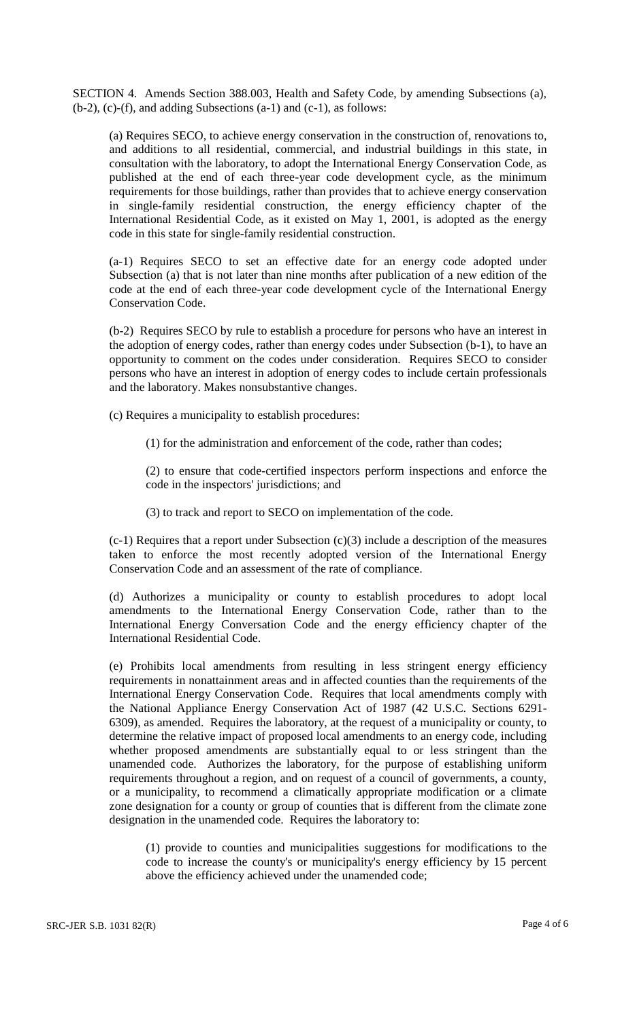SECTION 4. Amends Section 388.003, Health and Safety Code, by amending Subsections (a),  $(b-2)$ , (c)-(f), and adding Subsections (a-1) and (c-1), as follows:

(a) Requires SECO, to achieve energy conservation in the construction of, renovations to, and additions to all residential, commercial, and industrial buildings in this state, in consultation with the laboratory, to adopt the International Energy Conservation Code, as published at the end of each three-year code development cycle, as the minimum requirements for those buildings, rather than provides that to achieve energy conservation in single-family residential construction, the energy efficiency chapter of the International Residential Code, as it existed on May 1, 2001, is adopted as the energy code in this state for single-family residential construction.

(a-1) Requires SECO to set an effective date for an energy code adopted under Subsection (a) that is not later than nine months after publication of a new edition of the code at the end of each three-year code development cycle of the International Energy Conservation Code.

(b-2) Requires SECO by rule to establish a procedure for persons who have an interest in the adoption of energy codes, rather than energy codes under Subsection (b-1), to have an opportunity to comment on the codes under consideration. Requires SECO to consider persons who have an interest in adoption of energy codes to include certain professionals and the laboratory. Makes nonsubstantive changes.

(c) Requires a municipality to establish procedures:

(1) for the administration and enforcement of the code, rather than codes;

(2) to ensure that code-certified inspectors perform inspections and enforce the code in the inspectors' jurisdictions; and

(3) to track and report to SECO on implementation of the code.

(c-1) Requires that a report under Subsection (c)(3) include a description of the measures taken to enforce the most recently adopted version of the International Energy Conservation Code and an assessment of the rate of compliance.

(d) Authorizes a municipality or county to establish procedures to adopt local amendments to the International Energy Conservation Code, rather than to the International Energy Conversation Code and the energy efficiency chapter of the International Residential Code.

(e) Prohibits local amendments from resulting in less stringent energy efficiency requirements in nonattainment areas and in affected counties than the requirements of the International Energy Conservation Code. Requires that local amendments comply with the National Appliance Energy Conservation Act of 1987 (42 U.S.C. Sections 6291- 6309), as amended. Requires the laboratory, at the request of a municipality or county, to determine the relative impact of proposed local amendments to an energy code, including whether proposed amendments are substantially equal to or less stringent than the unamended code. Authorizes the laboratory, for the purpose of establishing uniform requirements throughout a region, and on request of a council of governments, a county, or a municipality, to recommend a climatically appropriate modification or a climate zone designation for a county or group of counties that is different from the climate zone designation in the unamended code. Requires the laboratory to:

(1) provide to counties and municipalities suggestions for modifications to the code to increase the county's or municipality's energy efficiency by 15 percent above the efficiency achieved under the unamended code;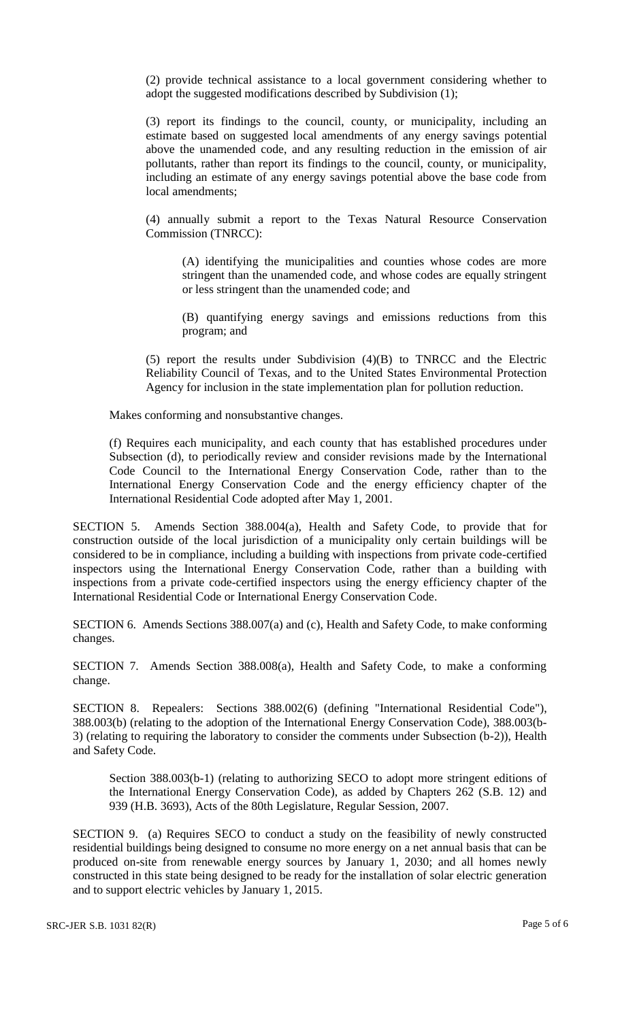(2) provide technical assistance to a local government considering whether to adopt the suggested modifications described by Subdivision (1);

(3) report its findings to the council, county, or municipality, including an estimate based on suggested local amendments of any energy savings potential above the unamended code, and any resulting reduction in the emission of air pollutants, rather than report its findings to the council, county, or municipality, including an estimate of any energy savings potential above the base code from local amendments;

(4) annually submit a report to the Texas Natural Resource Conservation Commission (TNRCC):

(A) identifying the municipalities and counties whose codes are more stringent than the unamended code, and whose codes are equally stringent or less stringent than the unamended code; and

(B) quantifying energy savings and emissions reductions from this program; and

(5) report the results under Subdivision (4)(B) to TNRCC and the Electric Reliability Council of Texas, and to the United States Environmental Protection Agency for inclusion in the state implementation plan for pollution reduction.

Makes conforming and nonsubstantive changes.

(f) Requires each municipality, and each county that has established procedures under Subsection (d), to periodically review and consider revisions made by the International Code Council to the International Energy Conservation Code, rather than to the International Energy Conservation Code and the energy efficiency chapter of the International Residential Code adopted after May 1, 2001.

SECTION 5. Amends Section 388.004(a), Health and Safety Code, to provide that for construction outside of the local jurisdiction of a municipality only certain buildings will be considered to be in compliance, including a building with inspections from private code-certified inspectors using the International Energy Conservation Code, rather than a building with inspections from a private code-certified inspectors using the energy efficiency chapter of the International Residential Code or International Energy Conservation Code.

SECTION 6. Amends Sections 388.007(a) and (c), Health and Safety Code, to make conforming changes.

SECTION 7. Amends Section 388.008(a), Health and Safety Code, to make a conforming change.

SECTION 8. Repealers: Sections 388.002(6) (defining "International Residential Code"), 388.003(b) (relating to the adoption of the International Energy Conservation Code), 388.003(b-3) (relating to requiring the laboratory to consider the comments under Subsection (b-2)), Health and Safety Code.

Section 388.003(b-1) (relating to authorizing SECO to adopt more stringent editions of the International Energy Conservation Code), as added by Chapters 262 (S.B. 12) and 939 (H.B. 3693), Acts of the 80th Legislature, Regular Session, 2007.

SECTION 9. (a) Requires SECO to conduct a study on the feasibility of newly constructed residential buildings being designed to consume no more energy on a net annual basis that can be produced on-site from renewable energy sources by January 1, 2030; and all homes newly constructed in this state being designed to be ready for the installation of solar electric generation and to support electric vehicles by January 1, 2015.